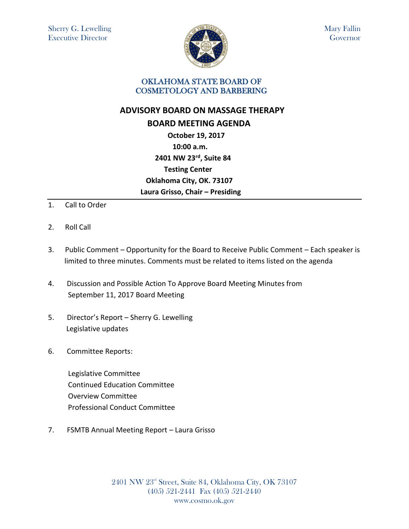

Mary Fallin Governor

## OKLAHOMA STATE BOARD OF COSMETOLOGY AND BARBERING

## **ADVISORY BOARD ON MASSAGE THERAPY BOARD MEETING AGENDA October 19, 2017 10:00 a.m. 2401 NW 23rd, Suite 84 Testing Center Oklahoma City, OK. 73107 Laura Grisso, Chair – Presiding**

- 1. Call to Order
- 2. Roll Call
- 3. Public Comment Opportunity for the Board to Receive Public Comment Each speaker is limited to three minutes. Comments must be related to items listed on the agenda
- 4. Discussion and Possible Action To Approve Board Meeting Minutes from September 11, 2017 Board Meeting
- 5. Director's Report Sherry G. Lewelling Legislative updates
- 6. Committee Reports:

 Legislative Committee Continued Education Committee Overview Committee Professional Conduct Committee

7. FSMTB Annual Meeting Report – Laura Grisso

2401 NW 23rd Street, Suite 84, Oklahoma City, OK 73107 (405) 521-2441 Fax (405) 521-2440 www.cosmo.ok.gov